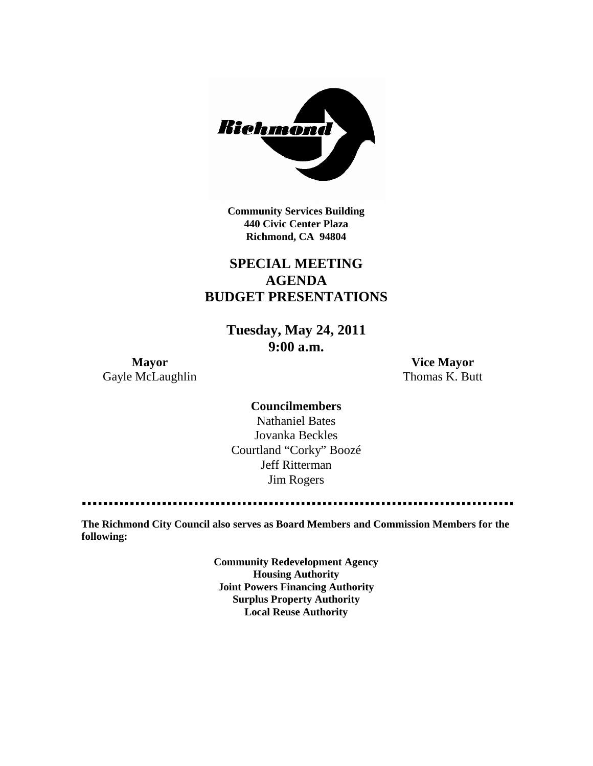

**Community Services Building 440 Civic Center Plaza Richmond, CA 94804**

## **SPECIAL MEETING AGENDA BUDGET PRESENTATIONS**

**Tuesday, May 24, 2011 9:00 a.m.**

Gayle McLaughlin Thomas K. Butt

**Mayor Vice Mayor**

**Councilmembers** Nathaniel Bates Jovanka Beckles Courtland "Corky" Boozé Jeff Ritterman Jim Rogers

**The Richmond City Council also serves as Board Members and Commission Members for the following:**

> **Community Redevelopment Agency Housing Authority Joint Powers Financing Authority Surplus Property Authority Local Reuse Authority**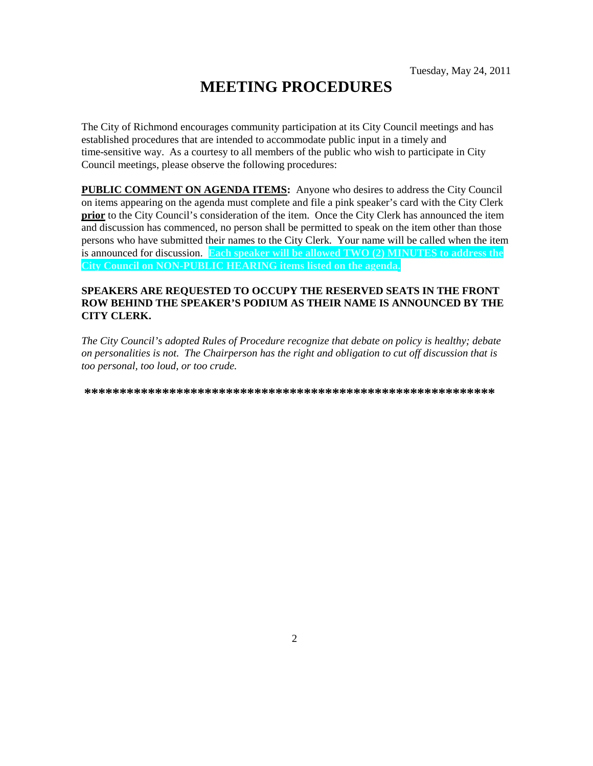# **MEETING PROCEDURES**

The City of Richmond encourages community participation at its City Council meetings and has established procedures that are intended to accommodate public input in a timely and time-sensitive way. As a courtesy to all members of the public who wish to participate in City Council meetings, please observe the following procedures:

**PUBLIC COMMENT ON AGENDA ITEMS:** Anyone who desires to address the City Council on items appearing on the agenda must complete and file a pink speaker's card with the City Clerk **prior** to the City Council's consideration of the item. Once the City Clerk has announced the item and discussion has commenced, no person shall be permitted to speak on the item other than those persons who have submitted their names to the City Clerk. Your name will be called when the item is announced for discussion. **Each speaker will be allowed TWO (2) MINUTES to address the City Council on NON-PUBLIC HEARING items listed on the agenda.**

### **SPEAKERS ARE REQUESTED TO OCCUPY THE RESERVED SEATS IN THE FRONT ROW BEHIND THE SPEAKER'S PODIUM AS THEIR NAME IS ANNOUNCED BY THE CITY CLERK.**

*The City Council's adopted Rules of Procedure recognize that debate on policy is healthy; debate on personalities is not. The Chairperson has the right and obligation to cut off discussion that is too personal, too loud, or too crude.*

**\*\*\*\*\*\*\*\*\*\*\*\*\*\*\*\*\*\*\*\*\*\*\*\*\*\*\*\*\*\*\*\*\*\*\*\*\*\*\*\*\*\*\*\*\*\*\*\*\*\*\*\*\*\*\*\*\*\***